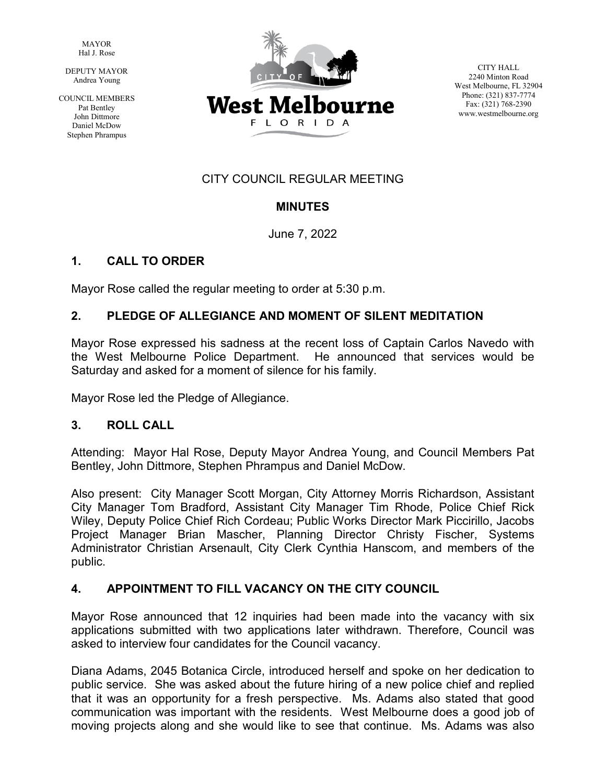MAYOR Hal J. Rose

 DEPUTY MAYOR Andrea Young

COUNCIL MEMBERS Pat Bentley John Dittmore Daniel McDow Stephen Phrampus



CITY HALL 2240 Minton Road West Melbourne, FL 32904 Phone: (321) 837-7774 Fax: (321) 768-2390 www.westmelbourne.org

# CITY COUNCIL REGULAR MEETING

## **MINUTES**

June 7, 2022

## **1. CALL TO ORDER**

Mayor Rose called the regular meeting to order at 5:30 p.m.

## **2. PLEDGE OF ALLEGIANCE AND MOMENT OF SILENT MEDITATION**

Mayor Rose expressed his sadness at the recent loss of Captain Carlos Navedo with the West Melbourne Police Department. He announced that services would be Saturday and asked for a moment of silence for his family.

Mayor Rose led the Pledge of Allegiance.

## **3. ROLL CALL**

Attending: Mayor Hal Rose, Deputy Mayor Andrea Young, and Council Members Pat Bentley, John Dittmore, Stephen Phrampus and Daniel McDow.

Also present: City Manager Scott Morgan, City Attorney Morris Richardson, Assistant City Manager Tom Bradford, Assistant City Manager Tim Rhode, Police Chief Rick Wiley, Deputy Police Chief Rich Cordeau; Public Works Director Mark Piccirillo, Jacobs Project Manager Brian Mascher, Planning Director Christy Fischer, Systems Administrator Christian Arsenault, City Clerk Cynthia Hanscom, and members of the public.

## **4. APPOINTMENT TO FILL VACANCY ON THE CITY COUNCIL**

Mayor Rose announced that 12 inquiries had been made into the vacancy with six applications submitted with two applications later withdrawn. Therefore, Council was asked to interview four candidates for the Council vacancy.

Diana Adams, 2045 Botanica Circle, introduced herself and spoke on her dedication to public service. She was asked about the future hiring of a new police chief and replied that it was an opportunity for a fresh perspective. Ms. Adams also stated that good communication was important with the residents. West Melbourne does a good job of moving projects along and she would like to see that continue. Ms. Adams was also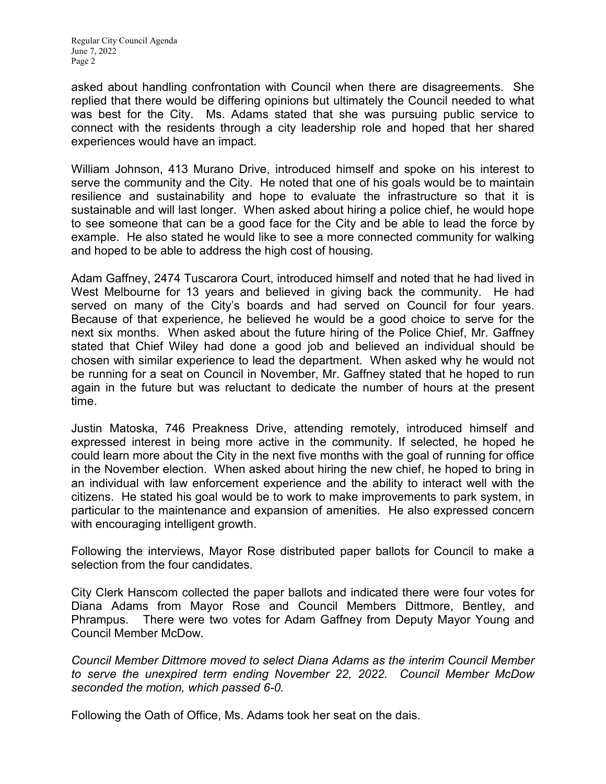asked about handling confrontation with Council when there are disagreements. She replied that there would be differing opinions but ultimately the Council needed to what was best for the City. Ms. Adams stated that she was pursuing public service to connect with the residents through a city leadership role and hoped that her shared experiences would have an impact.

William Johnson, 413 Murano Drive, introduced himself and spoke on his interest to serve the community and the City. He noted that one of his goals would be to maintain resilience and sustainability and hope to evaluate the infrastructure so that it is sustainable and will last longer. When asked about hiring a police chief, he would hope to see someone that can be a good face for the City and be able to lead the force by example. He also stated he would like to see a more connected community for walking and hoped to be able to address the high cost of housing.

Adam Gaffney, 2474 Tuscarora Court, introduced himself and noted that he had lived in West Melbourne for 13 years and believed in giving back the community. He had served on many of the City's boards and had served on Council for four years. Because of that experience, he believed he would be a good choice to serve for the next six months. When asked about the future hiring of the Police Chief, Mr. Gaffney stated that Chief Wiley had done a good job and believed an individual should be chosen with similar experience to lead the department. When asked why he would not be running for a seat on Council in November, Mr. Gaffney stated that he hoped to run again in the future but was reluctant to dedicate the number of hours at the present time.

Justin Matoska, 746 Preakness Drive, attending remotely, introduced himself and expressed interest in being more active in the community. If selected, he hoped he could learn more about the City in the next five months with the goal of running for office in the November election. When asked about hiring the new chief, he hoped to bring in an individual with law enforcement experience and the ability to interact well with the citizens. He stated his goal would be to work to make improvements to park system, in particular to the maintenance and expansion of amenities. He also expressed concern with encouraging intelligent growth.

Following the interviews, Mayor Rose distributed paper ballots for Council to make a selection from the four candidates.

City Clerk Hanscom collected the paper ballots and indicated there were four votes for Diana Adams from Mayor Rose and Council Members Dittmore, Bentley, and Phrampus. There were two votes for Adam Gaffney from Deputy Mayor Young and Council Member McDow.

*Council Member Dittmore moved to select Diana Adams as the interim Council Member to serve the unexpired term ending November 22, 2022. Council Member McDow seconded the motion, which passed 6-0.*

Following the Oath of Office, Ms. Adams took her seat on the dais.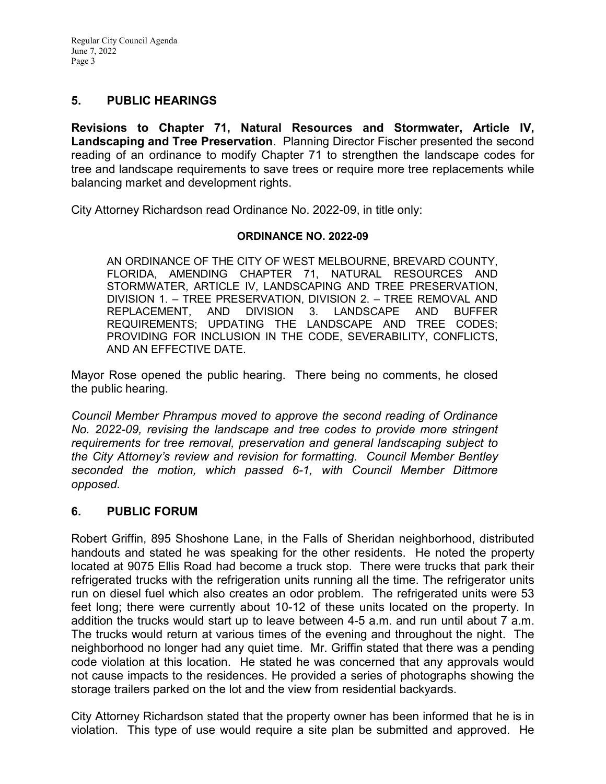### **5. PUBLIC HEARINGS**

**Revisions to Chapter 71, Natural Resources and Stormwater, Article IV, Landscaping and Tree Preservation**. Planning Director Fischer presented the second reading of an ordinance to modify Chapter 71 to strengthen the landscape codes for tree and landscape requirements to save trees or require more tree replacements while balancing market and development rights.

City Attorney Richardson read Ordinance No. 2022-09, in title only:

#### **ORDINANCE NO. 2022-09**

AN ORDINANCE OF THE CITY OF WEST MELBOURNE, BREVARD COUNTY, FLORIDA, AMENDING CHAPTER 71, NATURAL RESOURCES AND STORMWATER, ARTICLE IV, LANDSCAPING AND TREE PRESERVATION, DIVISION 1. – TREE PRESERVATION, DIVISION 2. – TREE REMOVAL AND REPLACEMENT, AND DIVISION 3. LANDSCAPE AND BUFFER REQUIREMENTS; UPDATING THE LANDSCAPE AND TREE CODES; PROVIDING FOR INCLUSION IN THE CODE, SEVERABILITY, CONFLICTS, AND AN EFFECTIVE DATE.

Mayor Rose opened the public hearing. There being no comments, he closed the public hearing.

*Council Member Phrampus moved to approve the second reading of Ordinance No. 2022-09, revising the landscape and tree codes to provide more stringent requirements for tree removal, preservation and general landscaping subject to the City Attorney's review and revision for formatting. Council Member Bentley seconded the motion, which passed 6-1, with Council Member Dittmore opposed.*

### **6. PUBLIC FORUM**

Robert Griffin, 895 Shoshone Lane, in the Falls of Sheridan neighborhood, distributed handouts and stated he was speaking for the other residents. He noted the property located at 9075 Ellis Road had become a truck stop. There were trucks that park their refrigerated trucks with the refrigeration units running all the time. The refrigerator units run on diesel fuel which also creates an odor problem. The refrigerated units were 53 feet long; there were currently about 10-12 of these units located on the property. In addition the trucks would start up to leave between 4-5 a.m. and run until about 7 a.m. The trucks would return at various times of the evening and throughout the night. The neighborhood no longer had any quiet time. Mr. Griffin stated that there was a pending code violation at this location. He stated he was concerned that any approvals would not cause impacts to the residences. He provided a series of photographs showing the storage trailers parked on the lot and the view from residential backyards.

City Attorney Richardson stated that the property owner has been informed that he is in violation. This type of use would require a site plan be submitted and approved. He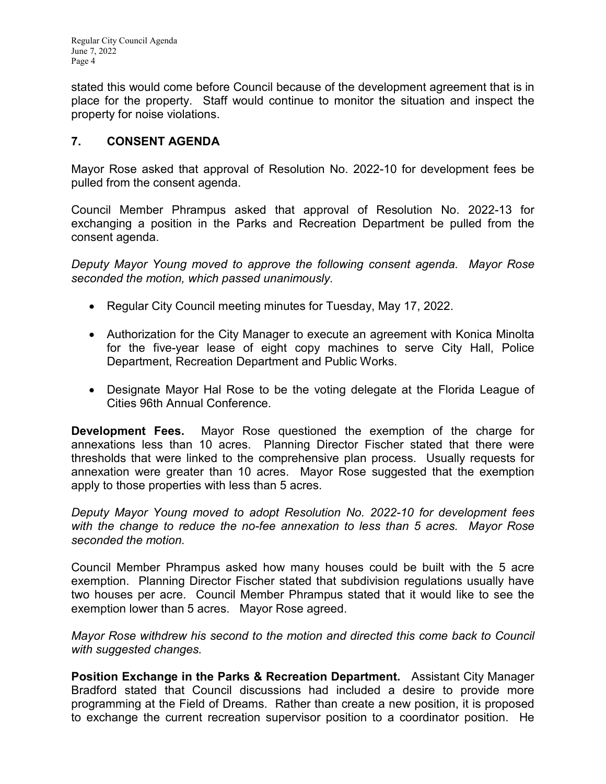stated this would come before Council because of the development agreement that is in place for the property. Staff would continue to monitor the situation and inspect the property for noise violations.

# **7. CONSENT AGENDA**

Mayor Rose asked that approval of Resolution No. 2022-10 for development fees be pulled from the consent agenda.

Council Member Phrampus asked that approval of Resolution No. 2022-13 for exchanging a position in the Parks and Recreation Department be pulled from the consent agenda.

*Deputy Mayor Young moved to approve the following consent agenda. Mayor Rose seconded the motion, which passed unanimously.*

- Regular City Council meeting minutes for Tuesday, May 17, 2022.
- Authorization for the City Manager to execute an agreement with Konica Minolta for the five-year lease of eight copy machines to serve City Hall, Police Department, Recreation Department and Public Works.
- Designate Mayor Hal Rose to be the voting delegate at the Florida League of Cities 96th Annual Conference.

**Development Fees.** Mayor Rose questioned the exemption of the charge for annexations less than 10 acres. Planning Director Fischer stated that there were thresholds that were linked to the comprehensive plan process. Usually requests for annexation were greater than 10 acres. Mayor Rose suggested that the exemption apply to those properties with less than 5 acres.

*Deputy Mayor Young moved to adopt Resolution No. 2022-10 for development fees with the change to reduce the no-fee annexation to less than 5 acres. Mayor Rose seconded the motion.* 

Council Member Phrampus asked how many houses could be built with the 5 acre exemption. Planning Director Fischer stated that subdivision regulations usually have two houses per acre. Council Member Phrampus stated that it would like to see the exemption lower than 5 acres. Mayor Rose agreed.

*Mayor Rose withdrew his second to the motion and directed this come back to Council with suggested changes.*

**Position Exchange in the Parks & Recreation Department.** Assistant City Manager Bradford stated that Council discussions had included a desire to provide more programming at the Field of Dreams. Rather than create a new position, it is proposed to exchange the current recreation supervisor position to a coordinator position. He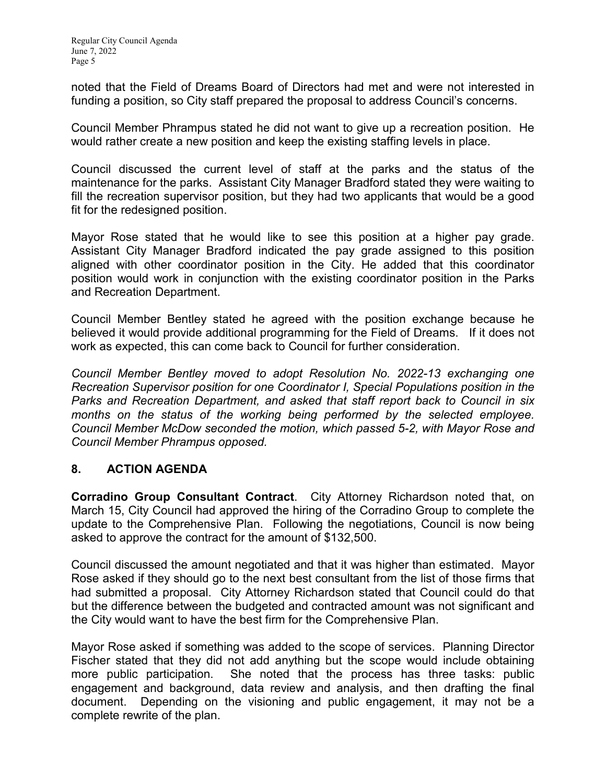noted that the Field of Dreams Board of Directors had met and were not interested in funding a position, so City staff prepared the proposal to address Council's concerns.

Council Member Phrampus stated he did not want to give up a recreation position. He would rather create a new position and keep the existing staffing levels in place.

Council discussed the current level of staff at the parks and the status of the maintenance for the parks. Assistant City Manager Bradford stated they were waiting to fill the recreation supervisor position, but they had two applicants that would be a good fit for the redesigned position.

Mayor Rose stated that he would like to see this position at a higher pay grade. Assistant City Manager Bradford indicated the pay grade assigned to this position aligned with other coordinator position in the City. He added that this coordinator position would work in conjunction with the existing coordinator position in the Parks and Recreation Department.

Council Member Bentley stated he agreed with the position exchange because he believed it would provide additional programming for the Field of Dreams. If it does not work as expected, this can come back to Council for further consideration.

*Council Member Bentley moved to adopt Resolution No. 2022-13 exchanging one Recreation Supervisor position for one Coordinator I, Special Populations position in the Parks and Recreation Department, and asked that staff report back to Council in six months on the status of the working being performed by the selected employee. Council Member McDow seconded the motion, which passed 5-2, with Mayor Rose and Council Member Phrampus opposed.* 

## **8. ACTION AGENDA**

**Corradino Group Consultant Contract**. City Attorney Richardson noted that, on March 15, City Council had approved the hiring of the Corradino Group to complete the update to the Comprehensive Plan. Following the negotiations, Council is now being asked to approve the contract for the amount of \$132,500.

Council discussed the amount negotiated and that it was higher than estimated. Mayor Rose asked if they should go to the next best consultant from the list of those firms that had submitted a proposal. City Attorney Richardson stated that Council could do that but the difference between the budgeted and contracted amount was not significant and the City would want to have the best firm for the Comprehensive Plan.

Mayor Rose asked if something was added to the scope of services. Planning Director Fischer stated that they did not add anything but the scope would include obtaining more public participation. She noted that the process has three tasks: public engagement and background, data review and analysis, and then drafting the final document. Depending on the visioning and public engagement, it may not be a complete rewrite of the plan.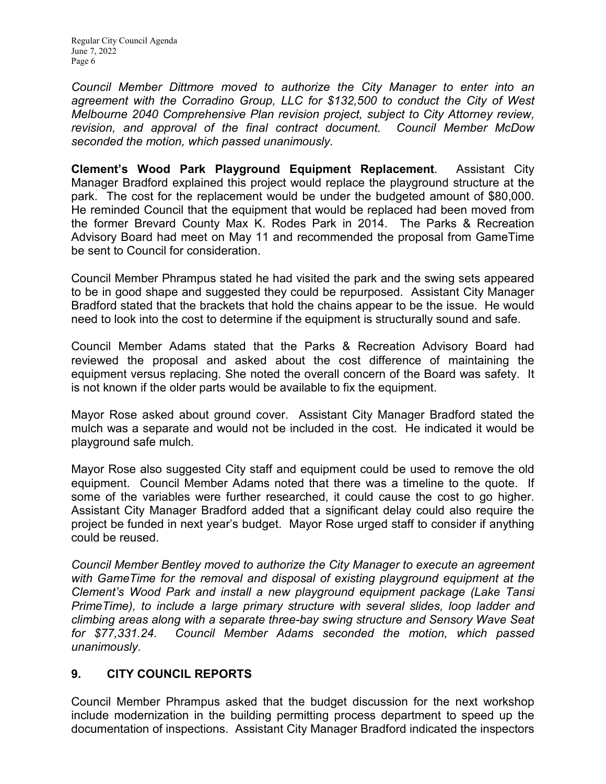Regular City Council Agenda June 7, 2022 Page 6

*Council Member Dittmore moved to authorize the City Manager to enter into an*  agreement with the Corradino Group, LLC for \$132,500 to conduct the City of West *Melbourne 2040 Comprehensive Plan revision project, subject to City Attorney review, revision, and approval of the final contract document. Council Member McDow seconded the motion, which passed unanimously.*

**Clement's Wood Park Playground Equipment Replacement**. Assistant City Manager Bradford explained this project would replace the playground structure at the park. The cost for the replacement would be under the budgeted amount of \$80,000. He reminded Council that the equipment that would be replaced had been moved from the former Brevard County Max K. Rodes Park in 2014. The Parks & Recreation Advisory Board had meet on May 11 and recommended the proposal from GameTime be sent to Council for consideration.

Council Member Phrampus stated he had visited the park and the swing sets appeared to be in good shape and suggested they could be repurposed. Assistant City Manager Bradford stated that the brackets that hold the chains appear to be the issue. He would need to look into the cost to determine if the equipment is structurally sound and safe.

Council Member Adams stated that the Parks & Recreation Advisory Board had reviewed the proposal and asked about the cost difference of maintaining the equipment versus replacing. She noted the overall concern of the Board was safety. It is not known if the older parts would be available to fix the equipment.

Mayor Rose asked about ground cover. Assistant City Manager Bradford stated the mulch was a separate and would not be included in the cost. He indicated it would be playground safe mulch.

Mayor Rose also suggested City staff and equipment could be used to remove the old equipment. Council Member Adams noted that there was a timeline to the quote. If some of the variables were further researched, it could cause the cost to go higher. Assistant City Manager Bradford added that a significant delay could also require the project be funded in next year's budget. Mayor Rose urged staff to consider if anything could be reused.

*Council Member Bentley moved to authorize the City Manager to execute an agreement with GameTime for the removal and disposal of existing playground equipment at the Clement's Wood Park and install a new playground equipment package (Lake Tansi PrimeTime), to include a large primary structure with several slides, loop ladder and climbing areas along with a separate three-bay swing structure and Sensory Wave Seat for \$77,331.24. Council Member Adams seconded the motion, which passed unanimously.*

## **9. CITY COUNCIL REPORTS**

Council Member Phrampus asked that the budget discussion for the next workshop include modernization in the building permitting process department to speed up the documentation of inspections. Assistant City Manager Bradford indicated the inspectors